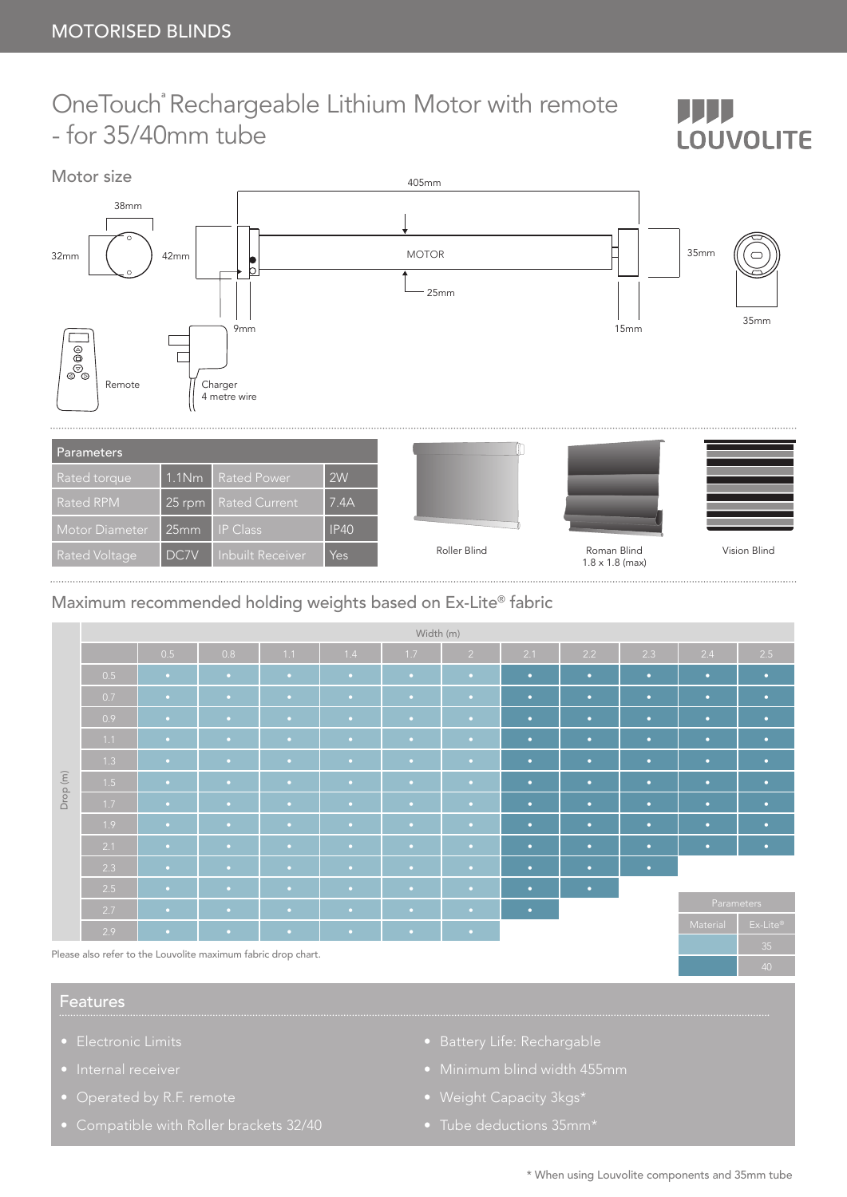## OneTouchª Rechargeable Lithium Motor with remote - for 35/40mm tube



## Maximum recommended holding weights based on Ex-Lite® fabric

|          | Width (m)                                   |           |           |             |           |             |                |           |           |           |            |                                |  |
|----------|---------------------------------------------|-----------|-----------|-------------|-----------|-------------|----------------|-----------|-----------|-----------|------------|--------------------------------|--|
| Drop (m) |                                             | 0.5       | 0.8       | 1.1         | 1.4       | 1.7         | $\overline{2}$ | 2.1       | 2.2       | 2.3       | 2.4        | 2.5                            |  |
|          | 0.5                                         | $\bullet$ | $\bullet$ | $\bullet$   | $\bullet$ | $\bullet$ . | $\bullet$ .    | $\bullet$ | $\bullet$ | $\bullet$ | $\bullet$  | $\bullet$                      |  |
|          | 0.7                                         | $\bullet$ | $\sim$    | $\bullet$   | $\bullet$ | $\bullet$ . | $\bullet$ .    | $\bullet$ | $\bullet$ | $\bullet$ | $\bullet$  | $\bullet$                      |  |
|          | 0.9                                         | $\bullet$ | $\bullet$ | $\bullet$   | $\bullet$ | $\bullet$   | $\bullet$      | $\bullet$ | $\bullet$ | $\bullet$ | $\bullet$  | $\bullet$                      |  |
|          | 1.1                                         | $\bullet$ | $\bullet$ | $\bullet$   | $\bullet$ | $\bullet$ . | $\bullet$ .    | $\bullet$ | $\bullet$ | $\bullet$ | $\bullet$  | $\bullet$                      |  |
|          | 1.3                                         | $\bullet$ | $\bullet$ | $\bullet$   | $\bullet$ | $\bullet$ . | $\bullet$ .    | $\bullet$ | $\bullet$ | $\bullet$ | $\bullet$  | $\bullet$                      |  |
|          | 1.5                                         | $\bullet$ | $\bullet$ | $\bullet$ . | $\bullet$ | $\bullet$ . | $\bullet$ .    | $\bullet$ | $\bullet$ | $\bullet$ | $\bullet$  | $\bullet$                      |  |
|          | 1.7                                         | $\bullet$ | $\bullet$ | $\bullet$   | $\bullet$ | $\bullet$ . | $\bullet$ .    | $\bullet$ | $\bullet$ | $\bullet$ | $\bullet$  | $\bullet$                      |  |
|          | 1.9                                         | $\bullet$ | $\bullet$ | $\bullet$   | $\bullet$ | $\bullet$   | $\bullet$ .    | $\bullet$ | $\bullet$ | $\bullet$ | $\bullet$  | $\bullet$                      |  |
|          | 2.1                                         | $\bullet$ | $\bullet$ | $\bullet$   | $\bullet$ | $\bullet$ . | $\bullet$ .    | $\bullet$ | $\bullet$ | $\bullet$ | $\bullet$  | $\bullet$                      |  |
|          | 2.3                                         | $\bullet$ | $\bullet$ | $\sim$      | $\bullet$ | $\bullet$ . | $\bullet$ .    | $\bullet$ | $\bullet$ | $\bullet$ |            |                                |  |
|          | 2.5                                         | $\bullet$ | $\bullet$ | $\bullet$ . | $\bullet$ | $\bullet$ . | $\bullet$ .    | $\bullet$ | $\bullet$ |           |            |                                |  |
|          | 2.7                                         | $\bullet$ | $\bullet$ | $\bullet$   | $\bullet$ | $\bullet$   | $\bullet$      | $\bullet$ |           |           | Parameters |                                |  |
|          | 2.9                                         | $\bullet$ | $\bullet$ | $\bullet$   | $\bullet$ | $\bullet$   | $\bullet$ .    |           |           |           | Material   | $Ex\text{-}Life^{\circledast}$ |  |
| ---      | $\sim$<br><b>Contract Contract Contract</b> | $\sim$    |           | $\sim$      |           |             |                |           |           |           |            | 35                             |  |

Please also refer to the Louvolite maximum fabric drop chart.

## Features

- Electronic Limits
- 
- 
- 
- 
- 
- Weight Capacity 3kgs\*
- 

Ш